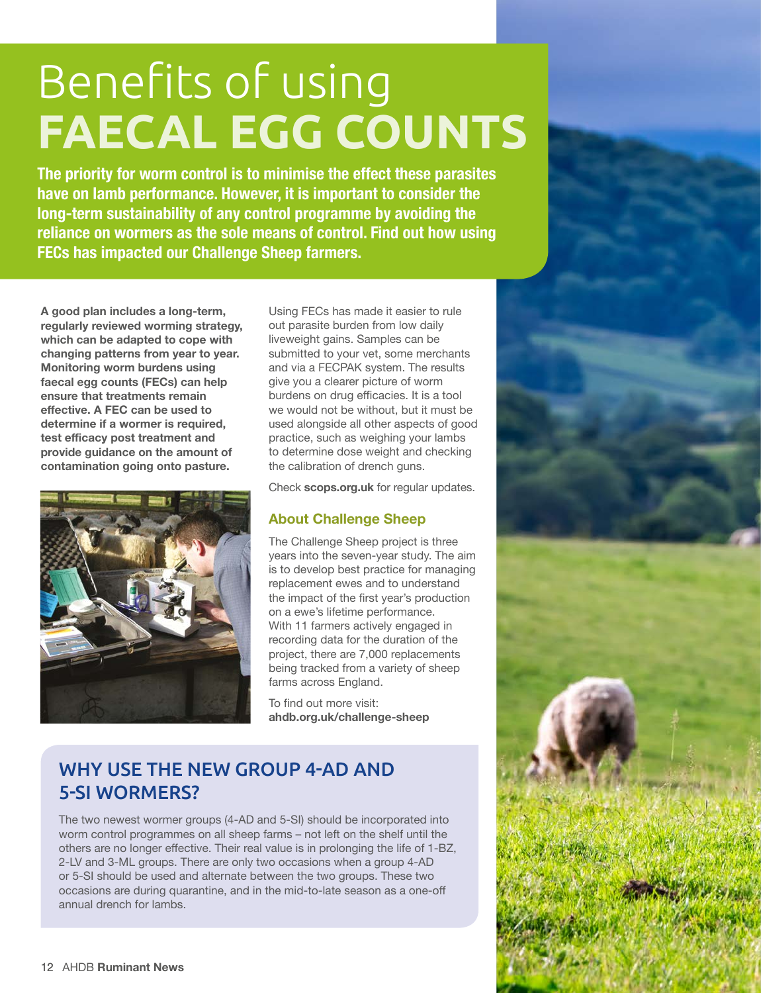## Benefits of using **FAECAL EGG COUNTS**

**The priority for worm control is to minimise the effect these parasites have on lamb performance. However, it is important to consider the long-term sustainability of any control programme by avoiding the reliance on wormers as the sole means of control. Find out how using FECs has impacted our Challenge Sheep farmers.**

**A good plan includes a long-term, regularly reviewed worming strategy, which can be adapted to cope with changing patterns from year to year. Monitoring worm burdens using faecal egg counts (FECs) can help ensure that treatments remain effective. A FEC can be used to determine if a wormer is required, test efficacy post treatment and provide guidance on the amount of contamination going onto pasture.**



Using FECs has made it easier to rule out parasite burden from low daily liveweight gains. Samples can be submitted to your vet, some merchants and via a FECPAK system. The results give you a clearer picture of worm burdens on drug efficacies. It is a tool we would not be without, but it must be used alongside all other aspects of good practice, such as weighing your lambs to determine dose weight and checking the calibration of drench guns.

Check **scops.org.uk** for regular updates.

## **About Challenge Sheep**

The Challenge Sheep project is three years into the seven-year study. The aim is to develop best practice for managing replacement ewes and to understand the impact of the first year's production on a ewe's lifetime performance. With 11 farmers actively engaged in recording data for the duration of the project, there are 7,000 replacements being tracked from a variety of sheep farms across England.

To find out more visit: **ahdb.org.uk/challenge-sheep**

## WHY USE THE NEW GROUP 4-AD AND 5-SI WORMERS?

The two newest wormer groups (4-AD and 5-SI) should be incorporated into worm control programmes on all sheep farms – not left on the shelf until the others are no longer effective. Their real value is in prolonging the life of 1-BZ, 2-LV and 3-ML groups. There are only two occasions when a group 4-AD or 5-SI should be used and alternate between the two groups. These two occasions are during quarantine, and in the mid-to-late season as a one-off annual drench for lambs.